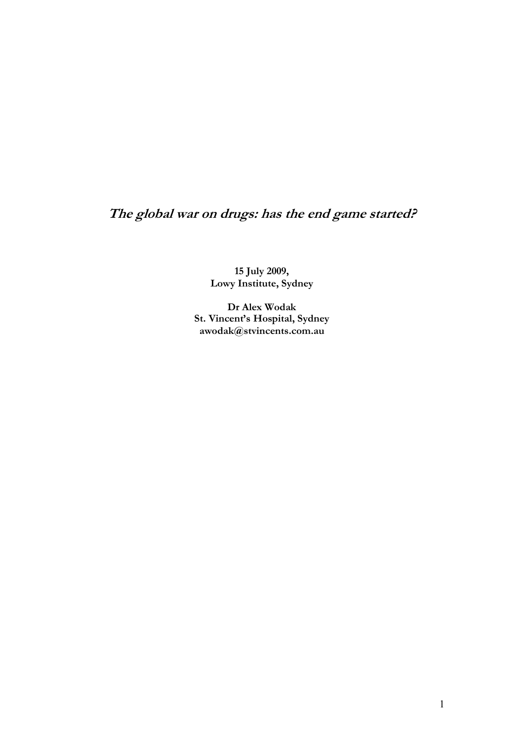# **The global war on drugs: has the end game started?**

**15 July 2009, Lowy Institute, Sydney**

**Dr Alex Wodak St. Vincent's Hospital, Sydney awodak@stvincents.com.au**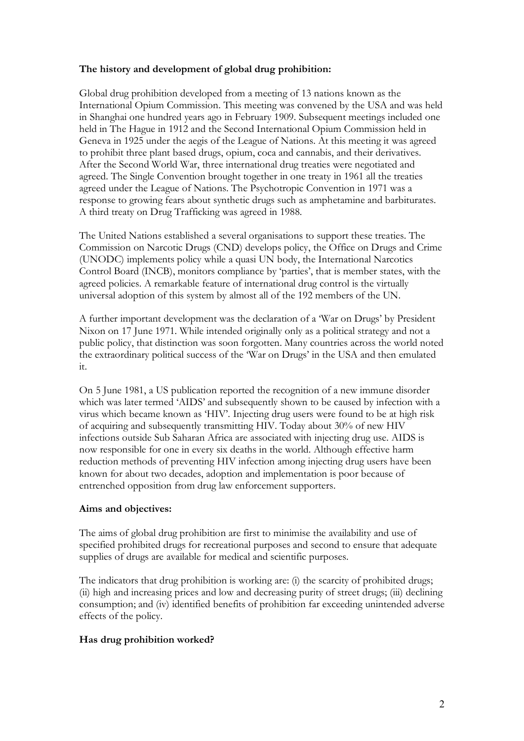# **The history and development of global drug prohibition:**

Global drug prohibition developed from a meeting of 13 nations known as the International Opium Commission. This meeting was convened by the USA and was held in Shanghai one hundred years ago in February 1909. Subsequent meetings included one held in The Hague in 1912 and the Second International Opium Commission held in Geneva in 1925 under the aegis of the League of Nations. At this meeting it was agreed to prohibit three plant based drugs, opium, coca and cannabis, and their derivatives. After the Second World War, three international drug treaties were negotiated and agreed. The Single Convention brought together in one treaty in 1961 all the treaties agreed under the League of Nations. The Psychotropic Convention in 1971 was a response to growing fears about synthetic drugs such as amphetamine and barbiturates. A third treaty on Drug Trafficking was agreed in 1988.

The United Nations established a several organisations to support these treaties. The Commission on Narcotic Drugs (CND) develops policy, the Office on Drugs and Crime (UNODC) implements policy while a quasi UN body, the International Narcotics Control Board (INCB), monitors compliance by 'parties', that is member states, with the agreed policies. A remarkable feature of international drug control is the virtually universal adoption of this system by almost all of the 192 members of the UN.

A further important development was the declaration of a 'War on Drugs' by President Nixon on 17 June 1971. While intended originally only as a political strategy and not a public policy, that distinction was soon forgotten. Many countries across the world noted the extraordinary political success of the 'War on Drugs' in the USA and then emulated it. On <sup>5</sup> June 1981, a US publication reported the recognition of a new immune disorder

which was later termed 'AIDS' and subsequently shown to be caused by infection with a virus which became known as 'HIV'. Injecting drug users were found to be at high risk of acquiring and subsequently transmitting HIV. Today about 30% of new HIV infections outside Sub Saharan Africa are associated with injecting drug use. AIDS is now responsible for one in every six deaths in the world. Although effective harm reduction methods of preventing HIV infection among injecting drug users have been known for about two decades, adoption and implementation is poor because of entrenched opposition from drug law enforcement supporters.

## **Aims and objectives:**

The aims of global drug prohibition are first to minimise the availability and use of specified prohibited drugs for recreational purposes and second to ensure that adequate supplies of drugs are available for medical and scientific purposes.

The indicators that drug prohibition is working are: (i) the scarcity of prohibited drugs; (ii) high and increasing prices and low and decreasing purity of street drugs; (iii) declining consumption; and (iv) identified benefits of prohibition far exceeding unintended adverse effects of the policy.

## **Has drug prohibition worked?**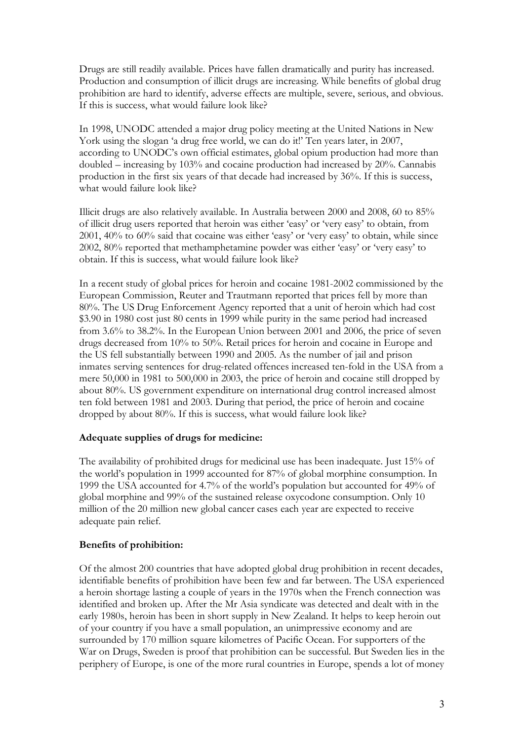Drugs are still readily available. Prices have fallen dramatically and purity has increased. Production and consumption of illicit drugs are increasing. While benefits of global drug prohibition are hard to identify, adverse effects are multiple, severe, serious, and obvious. If this is success, what would failure look like?

In 1998, UNODC attended a major drug policy meeting at the United Nations in New York using the slogan 'a drug free world, we can do it!' Ten years later, in 2007, according to UNODC's own official estimates, global opium production had more than doubled – increasing by 103% and cocaine production had increased by 20%. Cannabis production in the first six years of that decade had increased by 36%. If this is success, what would failure look like?

Illicit drugs are also relatively available. In Australia between 2000 and 2008, 60 to 85% of illicit drug users reported that heroin was either 'easy' or 'very easy' to obtain, from 2001, 40% to 60% said that cocaine was either 'easy' or 'very easy' to obtain, while since 2002, 80% reported that methamphetamine powder was either 'easy' or 'very easy' to obtain. If this is success, what would failure look like?

In a recent study of global prices for heroin and cocaine 1981-2002 commissioned by the European Commission, Reuter and Trautmann reported that prices fell by more than 80%. The US Drug Enforcement Agency reported that a unit of heroin which had cost \$3.90 in 1980 cost just 80 cents in 1999 while purity in the same period had increased from 3.6% to 38.2%. In the European Union between 2001 and 2006, the price of seven drugs decreased from 10% to 50%. Retail prices for heroin and cocaine in Europe and the US fell substantially between 1990 and 2005. As the number of jail and prison inmates serving sentences for drug-related offences increased ten-fold in the USA from a mere 50,000 in 1981 to 500,000 in 2003, the price of heroin and cocaine still dropped by about 80%. US government expenditure on international drug control increased almost ten fold between 1981 and 2003. During that period, the price of heroin and cocaine dropped by about 80%. If this is success, what would failure look like?

## **Adequate supplies of drugs for medicine:**

The availability of prohibited drugs for medicinal use has been inadequate. Just 15% of the world's population in 1999 accounted for 87% of global morphine consumption. In 1999 the USA accounted for 4.7% of the world's population but accounted for 49% of global morphine and 99% of the sustained release oxycodone consumption. Only 10 million of the 20 million new global cancer cases each year are expected to receive adequate pain relief.

## **Benefits of prohibition:**

Of the almost 200 countries that have adopted global drug prohibition in recent decades, identifiable benefits of prohibition have been few and far between. The USA experienced a heroin shortage lasting a couple of years in the 1970s when the French connection was identified and broken up. After the Mr Asia syndicate was detected and dealt with in the early 1980s, heroin has been in short supply in New Zealand. It helps to keep heroin out of your country if you have a small population, an unimpressive economy and are surrounded by 170 million square kilometres of Pacific Ocean. For supporters of the War on Drugs, Sweden is proof that prohibition can be successful. But Sweden lies in the periphery of Europe, is one of the more rural countries in Europe, spends a lot of money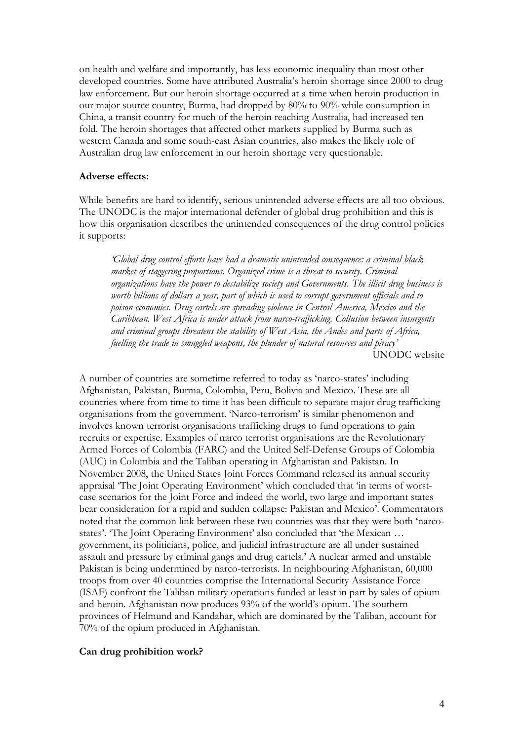on health and welfare and importantly, has less economic inequality than most other developed countries. Some have attributed Australia's heroin shortage since 2000 to drug law enforcement. But our heroin shortage occurred at a time when heroin production in our major source country, Burma, had dropped by 80% to 90% while consumption in China, a transit country for much of the heroin reaching Australia, had increased ten fold. The heroin shortages that affected other markets supplied by Burma such as western Canada and some south-east Asian countries, also makes the likely role of Australian drug law enforcement in our heroin shortage very questionable.

#### **Adverse effects:**

While benefits are hard to identify, serious unintended adverse effects are all too obvious. The UNODC is the major international defender of global drug prohibition and this is how this organisation describes the unintended consequences of the drug control policies it supports:

*'Global drug control efforts have had a dramatic unintended consequence: a criminal black market of staggering proportions. Organized crime is a threat to security. Criminal organizations have the power to destabilize society and Governments. The illicit drug business is worth billions of dollars a year, part of which is used to corrupt government officials and to poison economies. Drug cartels are spreading violence in Central America, Mexico and the Caribbean. West Africa is under attack from narco-trafficking. Collusion between insurgents and criminal groups threatens the stability of West Asia, the Andes and parts of Africa, fuelling the trade in smuggled weapons, the plunder of natural resources and piracy'* UNODC website

A number of countries are sometime referred to today as 'narco-states' including Afghanistan, Pakistan, Burma, Colombia, Peru, Bolivia and Mexico. These are all countries where from time to time it has been difficult to separate major drug trafficking organisations from the government. 'Narco-terrorism' is similar phenomenon and involves known terrorist organisations trafficking drugs to fund operations to gain recruits or expertise. Examples of narco terrorist organisations are the Revolutionary Armed Forces of Colombia (FARC) and the United Self-Defense Groups of Colombia (AUC) in Colombia and the Taliban operating in Afghanistan and Pakistan. In November 2008, the United States Joint Forces Command released its annual security appraisal 'The Joint Operating Environment' which concluded that 'in terms of worst case scenarios for the Joint Force and indeed the world, two large and important states bear consideration for a rapid and sudden collapse: Pakistan and Mexico'. Commentators noted that the common link between these two countries was that they were both 'narco states'. 'The Joint Operating Environment' also concluded that 'the Mexican … government, its politicians, police, and judicial infrastructure are all under sustained assault and pressure by criminal gangs and drug cartels.' A nuclear armed and unstable Pakistan is being undermined by narco-terrorists. In neighbouring Afghanistan, 60,000 troops from over 40 countries comprise the International Security Assistance Force (ISAF) confront the Taliban military operations funded at least in part by sales of opium and heroin. Afghanistan now produces 93% of the world's opium. The southern provinces of Helmund and Kandahar, which are dominated by the Taliban, account for 70% of the opium produced in Afghanistan.

#### **Can drug prohibition work?**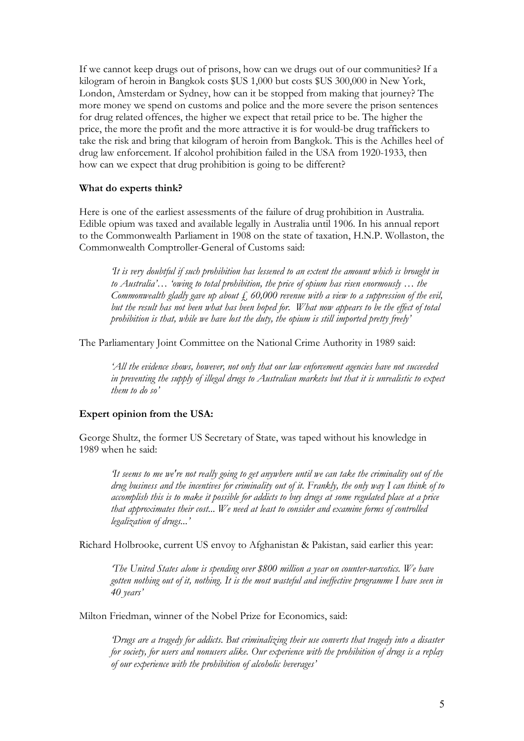If we cannot keep drugs out of prisons, how can we drugs out of our communities? If a kilogram of heroin in Bangkok costs \$US 1,000 but costs \$US 300,000 in New York, London, Amsterdam or Sydney, how can it be stopped from making that journey? The more money we spend on customs and police and the more severe the prison sentences for drug related offences, the higher we expect that retail price to be. The higher the price, the more the profit and the more attractive it is for would-be drug traffickers to take the risk and bring that kilogram of heroin from Bangkok. This is the Achilles heel of drug law enforcement. If alcohol prohibition failed in the USA from 1920-1933, then how can we expect that drug prohibition is going to be different?

## **What do experts think?**

Here is one of the earliest assessments of the failure of drug prohibition in Australia. Edible opium was taxed and available legally in Australia until 1906. In his annual report to the Commonwealth Parliament in 1908 on the state of taxation, H.N.P. Wollaston, the Commonwealth Comptroller-General of Customs said:

*'It is very doubtful if such prohibition has lessened to an extent the amount which is brought in to Australia'… 'owing to total prohibition, the price of opium has risen enormously … the Commonwealth gladly gave up about*  $\overline{f}$ , 60,000 *revenue with a view* to *a suppression* of the *evil*, *but the result has not been what has been hoped for. What now appears to be the effect of total prohibition is that, while we have lost the duty, the opium is still imported pretty freely'*

The Parliamentary Joint Committee on the National Crime Authority in 1989 said:

*'All the evidence shows, however, not only that our law enforcement agencies have not succeeded in preventing the supply of illegal drugs to Australian markets but that it is unrealistic to expect them to do so'*

#### **Expert opinion from the USA:**

George Shultz, the former US Secretary of State, was taped without his knowledge in 1989 when he said:

*'It seems to me we're not really going to get anywhere until we can take the criminality out of the drug business and the incentives for criminality out of it. Frankly, the only way I can think of to accomplish this is to make it possible for addicts to buy drugs at some regulated place at a price that approximates their cost... We need at least to consider and examine forms of controlled legalization of drugs...'*

Richard Holbrooke, current US envoy to Afghanistan & Pakistan, said earlier this year:

*'The United States alone is spending over \$800 million a year on counter-narcotics. We have gotten nothing out of it, nothing. It is the most wasteful and ineffective programme I have seen in 40 years'*

Milton Friedman, winner of the Nobel Prize for Economics, said:

*'Drugs are a tragedy for addicts. But criminalizing their use converts that tragedy into a disaster for society, for users and nonusers alike. Our experience with the prohibition of drugs is a replay of our experience with the prohibition of alcoholic beverages'*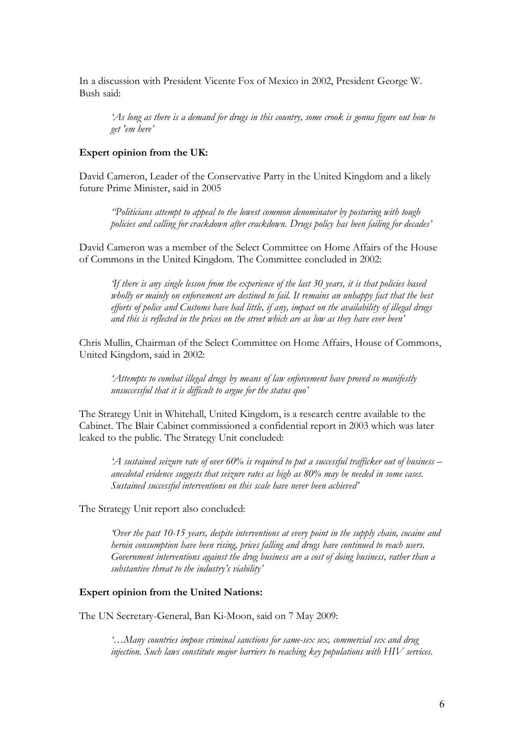In a discussion with President Vicente Fox of Mexico in 2002, President George W. Bush said:

*'As long as there is a demand for drugs in this country, some crook is gonna figure out how to get 'em here'*

### **Expert opinion from the UK:**

David Cameron, Leader of the Conservative Party in the United Kingdom and a likely future Prime Minister, said in 2005

*''Politicians attempt to appeal to the lowest common denominator by posturing with tough policies and calling for crackdown after crackdown. Drugs policy has been failing for decades'*

David Cameron was a member of the Select Committee on Home Affairs of the House of Commons in the United Kingdom. The Committee concluded in 2002:

*'If there is any single lesson from the experience of the last 30 years, it is that policies based wholly or mainly on enforcement are destined to fail. It remains an unhappy fact that the best efforts of police and Customs have had little, if any, impact on the availability of illegal drugs and this is reflected in the prices on the street which are as low as they have ever been'*

Chris Mullin, Chairman of the Select Committee on Home Affairs, House of Commons, United Kingdom, said in 2002:

*'Attempts to combat illegal drugs by means of law enforcement have proved so manifestly unsuccessful that it is difficult to argue for the status quo'*

The Strategy Unit in Whitehall, United Kingdom, is a research centre available to the Cabinet. The Blair Cabinet commissioned a confidential report in 2003 which was later leaked to the public. The Strategy Unit concluded:

'A sustained seizure rate of over 60% is required to put a successful trafficker out of business – anecdotal evidence suggests that seizure rates as high as  $80\%$  may be needed in some cases.<br>Sustained successful interve

The Strategy Unit report also concluded:

*'Over the past 10-15 years, despite interventions at every point in the supply chain, cocaine and* Government interventions against the drug business are a cost of doing business, rather than a *substantive threat to the industry's viability'*

## **Expert opinion from the United Nations:**

The UN Secretary-General, Ban Ki-Moon, said on 7 May 2009:

*'…Many countries impose criminal sanctions for same-sex sex, commercial sex and drug injection. Such laws constitute major barriers to reaching key populations with HIV services.*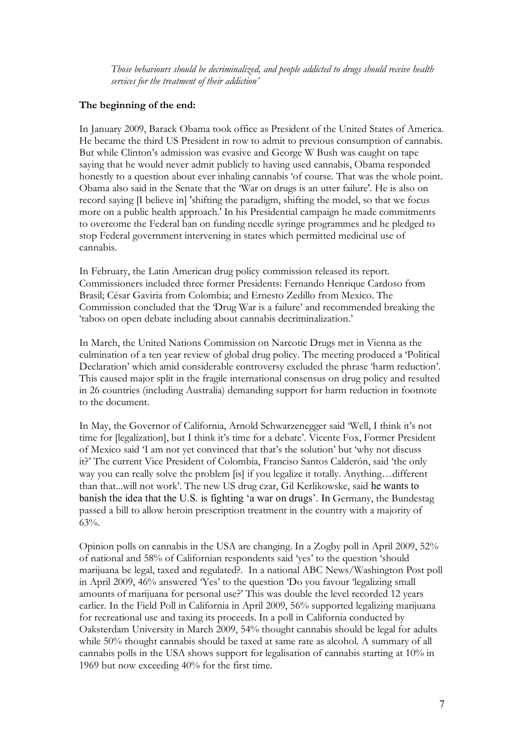*Those behaviours should be decriminalized, and people addicted to drugs should receive health services for the treatment of their addiction'*

## **The beginning of the end:**

In January 2009, Barack Obama took office as President of the United States of America. He became the third US President in row to admit to previous consumption of cannabis. But while Clinton's admission was evasive and George W Bush was caught on tape saying that he would never admit publicly to having used cannabis, Obama responded honestly to <sup>a</sup> question about ever inhaling cannabis 'of course. That was the whole point. Obama also said in the Senate that the 'War on drugs is an utter failure'. He is also on record saying [I believe in] 'shifting the paradigm, shifting the model, so that we focus more on a public health approach.' In his Presidential campaign he made commitments to overcome the Federal ban on funding needle syringe programmes and he pledged to stop Federal government intervening in states which permitted medicinal use of cannabis.

In February, the Latin American drug policy commission released its report. Commissioners included three former Presidents: Fernando Henrique Cardoso from Brasil; César Gaviria from Colombia; and Ernesto Zedillo from Mexico. The Commission concluded that the 'Drug War is a failure' and recommended breaking the 'taboo on open debate including about cannabis decriminalization.'

In March, the United Nations Commission on Narcotic Drugs met in Vienna as the culmination of a ten year review of global drug policy. The meeting produced a 'Political Declaration' which amid considerable controversy excluded the phrase 'harm reduction'. This caused major split in the fragile international consensus on drug policy and resulted in 26 countries (including Australia) demanding support for harm reduction in footnote to the document.

In May, the Governor of California, Arnold Schwarzenegger said 'Well, I think it's not time for [legalization], but I think it's time for a debate'. Vicente Fox, Former President of Mexico said 'I am notyet convinced that that's the solution' but 'why not discuss it?' The current Vice President of Colombia, Franciso Santos Calderón, said 'the only way you can really solve the problem [is] if you legalize it totally. Anything…different than that...will not work'. The new US drug czar, Gil Kerlikowske, said he wants to banish the idea that the U.S. is fighting 'a war on drugs'. In Germany, the Bundestag passed a bill to allow heroin prescription treatment in the country with a majority of 63%.

Opinion polls on cannabis in the USA are changing. In a Zogby poll in April 2009, 52% of national and 58% of Californian respondents said 'yes' to the question 'should marijuana be legal, taxed and regulated?. In a national ABC News/Washington Post poll in April 2009, 46% answered 'Yes' to the question 'Do you favour 'legalizing small amounts of marijuana for personal use?' This was double the level recorded 12 years earlier. In the Field Poll in California in April 2009, 56% supported legalizing marijuana for recreational use and taxing its proceeds. In a poll in California conducted by Oaksterdam University in March 2009, 54% thought cannabis should be legal for adults while 50% thought cannabis should be taxed at same rate as alcohol. A summary of all cannabis polls in the USA shows support for legalisation of cannabis starting at 10% in 1969 but now exceeding 40% for the first time.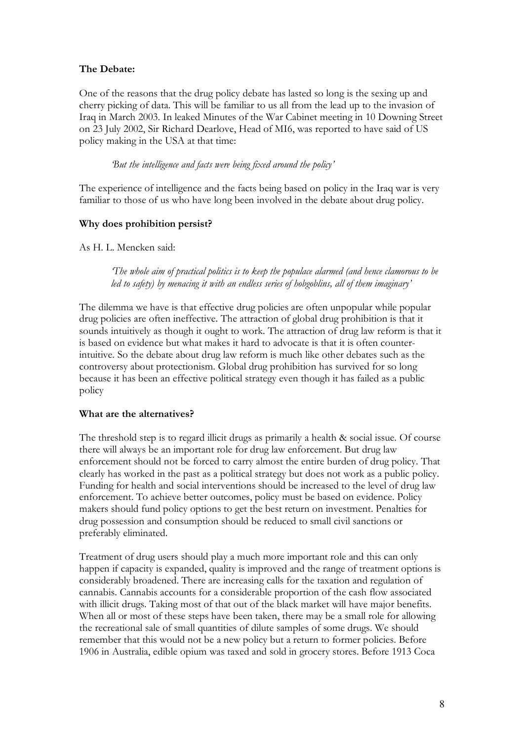# **The Debate:**

One of the reasons that the drug policy debate has lasted so long is the sexing up and cherry picking of data. This will be familiar to us all from the lead up to the invasion of Iraq in March 2003. In leaked Minutes of the War Cabinet meeting in 10 Downing Street on 23 July 2002, Sir Richard Dearlove, Head of MI6, was reported to have said of US policy making in the USA at that time:

*'But the intelligence and facts were being fixed around the policy'*

The experience of intelligence and the facts being based on policy in the Iraq war is very familiar to those of us who have long been involved in the debate about drug policy.

## **Why does prohibition persist?**

As H. L. Mencken said:

*'The whole aim of practical politics is to keep the populace alarmed (and hence clamorous to be led to safety) by menacing it with an endless series of hobgoblins, all of them imaginary'*

The dilemma we have is that effective drug policies are often unpopular while popular drug policies are often ineffective. The attraction of global drug prohibition is that it sounds intuitively as though it ought to work. The attraction of drug law reform is that it is based on evidence but what makes it hard to advocate is that it is often counterintuitive. So the debate about drug law reform is much like other debates such as the controversy about protectionism. Global drug prohibition has survived for so long because it has been an effective political strategy even though it has failed as a public policy

## **What are the alternatives?**

The threshold step is to regard illicit drugs as primarily a health & social issue. Of course there will always be an important role for drug law enforcement. But drug law enforcement should not be forced to carry almost the entire burden of drug policy. That clearly has worked in the past as a political strategy but does not work as a public policy. Funding for health and social interventions should be increased to the level of drug law enforcement. To achieve better outcomes, policy must be based on evidence. Policy makers should fund policy options to get the best return on investment. Penalties for drug possession and consumption should be reduced to small civil sanctions or preferably eliminated.

Treatment of drug users should play a much more important role and this can only happen if capacity is expanded, quality is improved and the range of treatment options is considerably broadened. There are increasing calls for the taxation and regulation of cannabis. Cannabis accounts for a considerable proportion of the cash flow associated with illicit drugs. Taking most of that out of the black market will have major benefits. When all or most of these steps have been taken, there may be a small role for allowing the recreational sale of small quantities of dilute samples of some drugs. We should remember that this would not be a new policy but a return to former policies. Before 1906 in Australia, edible opium was taxed and sold in grocery stores. Before 1913 Coca